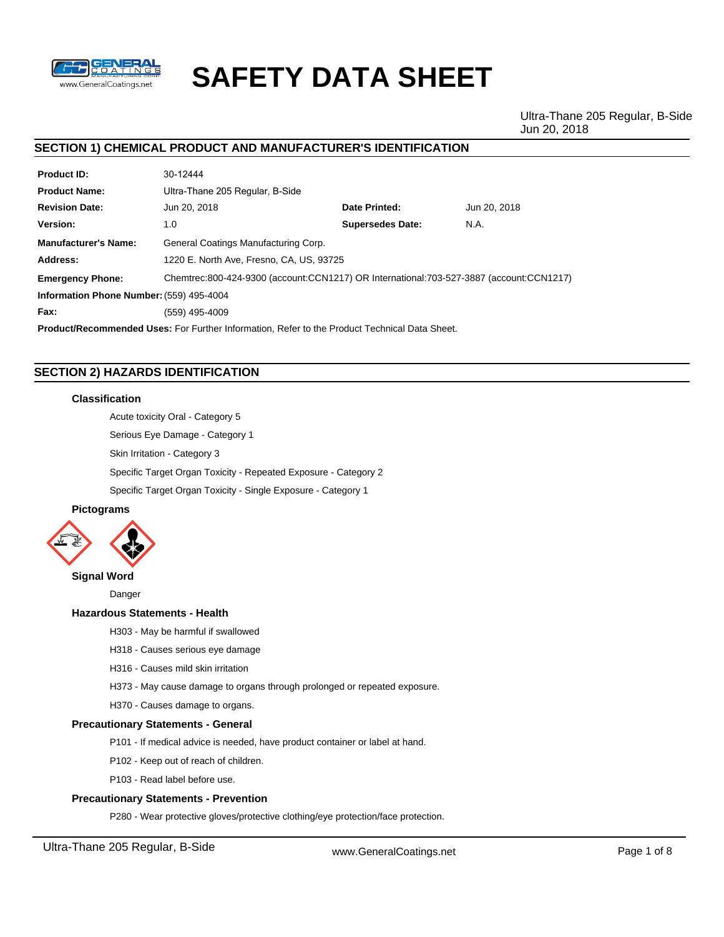

# **SAFETY DATA SHEET**

Ultra-Thane 205 Regular, B-Side Jun 20, 2018

# **SECTION 1) CHEMICAL PRODUCT AND MANUFACTURER'S IDENTIFICATION**

| <b>Product ID:</b>                                                                                   | 30-12444                                                                                |                         |              |  |  |
|------------------------------------------------------------------------------------------------------|-----------------------------------------------------------------------------------------|-------------------------|--------------|--|--|
| <b>Product Name:</b>                                                                                 | Ultra-Thane 205 Regular, B-Side                                                         |                         |              |  |  |
| <b>Revision Date:</b>                                                                                | Jun 20, 2018                                                                            | Date Printed:           | Jun 20, 2018 |  |  |
| Version:                                                                                             | 1.0                                                                                     | <b>Supersedes Date:</b> | N.A.         |  |  |
| <b>Manufacturer's Name:</b>                                                                          | General Coatings Manufacturing Corp.                                                    |                         |              |  |  |
| Address:                                                                                             | 1220 E. North Ave, Fresno, CA, US, 93725                                                |                         |              |  |  |
| <b>Emergency Phone:</b>                                                                              | Chemtrec:800-424-9300 (account:CCN1217) OR International:703-527-3887 (account:CCN1217) |                         |              |  |  |
| Information Phone Number: (559) 495-4004                                                             |                                                                                         |                         |              |  |  |
| Fax:                                                                                                 | (559) 495-4009                                                                          |                         |              |  |  |
| <b>Product/Recommended Uses:</b> For Further Information, Refer to the Product Technical Data Sheet. |                                                                                         |                         |              |  |  |

# **SECTION 2) HAZARDS IDENTIFICATION**

# **Classification**

Acute toxicity Oral - Category 5

Serious Eye Damage - Category 1

Skin Irritation - Category 3

Specific Target Organ Toxicity - Repeated Exposure - Category 2

Specific Target Organ Toxicity - Single Exposure - Category 1

# **Pictograms**



# **Signal Word**

Danger

# **Hazardous Statements - Health**

H303 - May be harmful if swallowed

- H318 Causes serious eye damage
- H316 Causes mild skin irritation
- H373 May cause damage to organs through prolonged or repeated exposure.
- H370 Causes damage to organs.

# **Precautionary Statements - General**

- P101 If medical advice is needed, have product container or label at hand.
- P102 Keep out of reach of children.
- P103 Read label before use.

# **Precautionary Statements - Prevention**

P280 - Wear protective gloves/protective clothing/eye protection/face protection.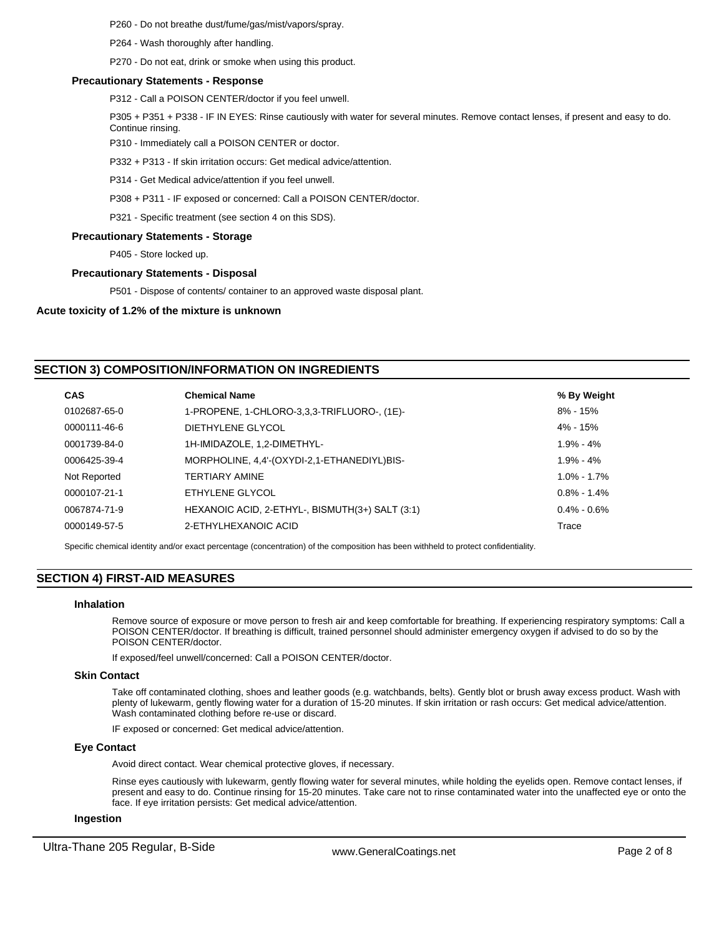P260 - Do not breathe dust/fume/gas/mist/vapors/spray.

P264 - Wash thoroughly after handling.

P270 - Do not eat, drink or smoke when using this product.

#### **Precautionary Statements - Response**

P312 - Call a POISON CENTER/doctor if you feel unwell.

P305 + P351 + P338 - IF IN EYES: Rinse cautiously with water for several minutes. Remove contact lenses, if present and easy to do. Continue rinsing.

P310 - Immediately call a POISON CENTER or doctor.

P332 + P313 - If skin irritation occurs: Get medical advice/attention.

P314 - Get Medical advice/attention if you feel unwell.

P308 + P311 - IF exposed or concerned: Call a POISON CENTER/doctor.

P321 - Specific treatment (see section 4 on this SDS).

#### **Precautionary Statements - Storage**

P405 - Store locked up.

#### **Precautionary Statements - Disposal**

P501 - Dispose of contents/ container to an approved waste disposal plant.

#### **Acute toxicity of 1.2% of the mixture is unknown**

# **SECTION 3) COMPOSITION/INFORMATION ON INGREDIENTS**

| <b>CAS</b>   | <b>Chemical Name</b>                            | % By Weight     |
|--------------|-------------------------------------------------|-----------------|
| 0102687-65-0 | 1-PROPENE, 1-CHLORO-3,3,3-TRIFLUORO-, (1E)-     | $8\% - 15\%$    |
| 0000111-46-6 | DIETHYLENE GLYCOL                               | $4\% - 15\%$    |
| 0001739-84-0 | 1H-IMIDAZOLE, 1,2-DIMETHYL-                     | $1.9\% - 4\%$   |
| 0006425-39-4 | MORPHOLINE, 4,4'-(OXYDI-2,1-ETHANEDIYL)BIS-     | $1.9\% - 4\%$   |
| Not Reported | TERTIARY AMINE                                  | $1.0\% - 1.7\%$ |
| 0000107-21-1 | ETHYLENE GLYCOL                                 | $0.8\% - 1.4\%$ |
| 0067874-71-9 | HEXANOIC ACID, 2-ETHYL-, BISMUTH(3+) SALT (3:1) | $0.4\% - 0.6\%$ |
| 0000149-57-5 | 2-ETHYLHEXANOIC ACID                            | Trace           |

Specific chemical identity and/or exact percentage (concentration) of the composition has been withheld to protect confidentiality.

# **SECTION 4) FIRST-AID MEASURES**

## **Inhalation**

Remove source of exposure or move person to fresh air and keep comfortable for breathing. If experiencing respiratory symptoms: Call a POISON CENTER/doctor. If breathing is difficult, trained personnel should administer emergency oxygen if advised to do so by the POISON CENTER/doctor.

If exposed/feel unwell/concerned: Call a POISON CENTER/doctor.

#### **Skin Contact**

Take off contaminated clothing, shoes and leather goods (e.g. watchbands, belts). Gently blot or brush away excess product. Wash with plenty of lukewarm, gently flowing water for a duration of 15-20 minutes. If skin irritation or rash occurs: Get medical advice/attention. Wash contaminated clothing before re-use or discard.

IF exposed or concerned: Get medical advice/attention.

# **Eye Contact**

Avoid direct contact. Wear chemical protective gloves, if necessary.

Rinse eyes cautiously with lukewarm, gently flowing water for several minutes, while holding the eyelids open. Remove contact lenses, if present and easy to do. Continue rinsing for 15-20 minutes. Take care not to rinse contaminated water into the unaffected eye or onto the face. If eye irritation persists: Get medical advice/attention.

#### **Ingestion**

Ultra-Thane 205 Regular, B-Side www.GeneralCoatings.net Page 2 of 8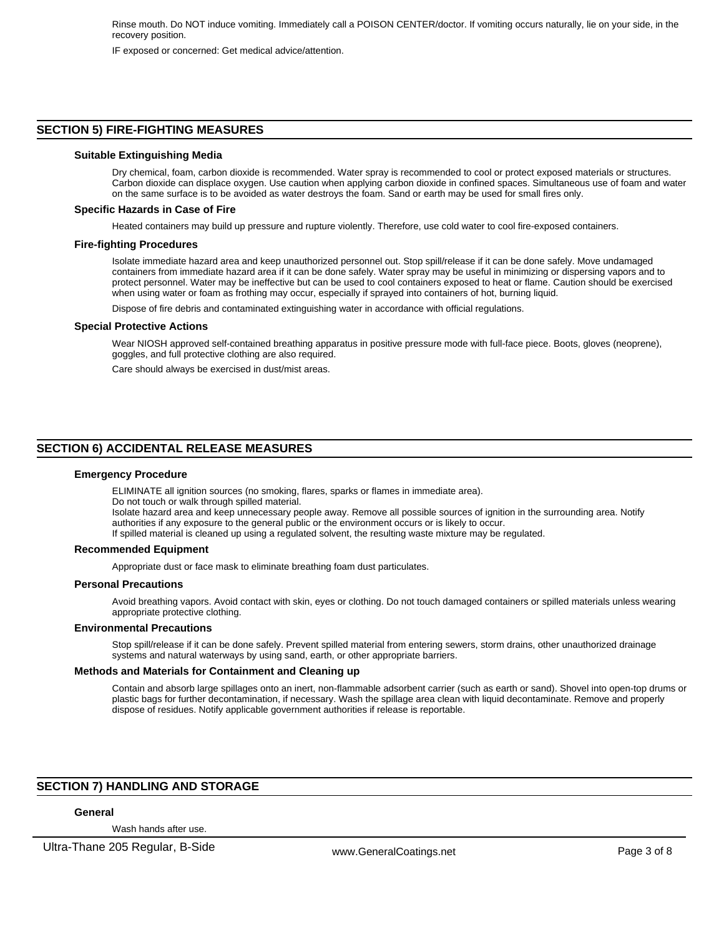IF exposed or concerned: Get medical advice/attention.

# **SECTION 5) FIRE-FIGHTING MEASURES**

#### **Suitable Extinguishing Media**

Dry chemical, foam, carbon dioxide is recommended. Water spray is recommended to cool or protect exposed materials or structures. Carbon dioxide can displace oxygen. Use caution when applying carbon dioxide in confined spaces. Simultaneous use of foam and water on the same surface is to be avoided as water destroys the foam. Sand or earth may be used for small fires only.

#### **Specific Hazards in Case of Fire**

Heated containers may build up pressure and rupture violently. Therefore, use cold water to cool fire-exposed containers.

#### **Fire-fighting Procedures**

Isolate immediate hazard area and keep unauthorized personnel out. Stop spill/release if it can be done safely. Move undamaged containers from immediate hazard area if it can be done safely. Water spray may be useful in minimizing or dispersing vapors and to protect personnel. Water may be ineffective but can be used to cool containers exposed to heat or flame. Caution should be exercised when using water or foam as frothing may occur, especially if sprayed into containers of hot, burning liquid.

Dispose of fire debris and contaminated extinguishing water in accordance with official regulations.

#### **Special Protective Actions**

Wear NIOSH approved self-contained breathing apparatus in positive pressure mode with full-face piece. Boots, gloves (neoprene), goggles, and full protective clothing are also required.

Care should always be exercised in dust/mist areas.

# **SECTION 6) ACCIDENTAL RELEASE MEASURES**

#### **Emergency Procedure**

ELIMINATE all ignition sources (no smoking, flares, sparks or flames in immediate area).

Do not touch or walk through spilled material.

Isolate hazard area and keep unnecessary people away. Remove all possible sources of ignition in the surrounding area. Notify authorities if any exposure to the general public or the environment occurs or is likely to occur.

If spilled material is cleaned up using a regulated solvent, the resulting waste mixture may be regulated.

#### **Recommended Equipment**

Appropriate dust or face mask to eliminate breathing foam dust particulates.

#### **Personal Precautions**

Avoid breathing vapors. Avoid contact with skin, eyes or clothing. Do not touch damaged containers or spilled materials unless wearing appropriate protective clothing.

#### **Environmental Precautions**

Stop spill/release if it can be done safely. Prevent spilled material from entering sewers, storm drains, other unauthorized drainage systems and natural waterways by using sand, earth, or other appropriate barriers.

#### **Methods and Materials for Containment and Cleaning up**

Contain and absorb large spillages onto an inert, non-flammable adsorbent carrier (such as earth or sand). Shovel into open-top drums or plastic bags for further decontamination, if necessary. Wash the spillage area clean with liquid decontaminate. Remove and properly dispose of residues. Notify applicable government authorities if release is reportable.

# **SECTION 7) HANDLING AND STORAGE**

# **General**

Wash hands after use.

Ultra-Thane 205 Regular, B-Side www.GeneralCoatings.net Page 3 of 8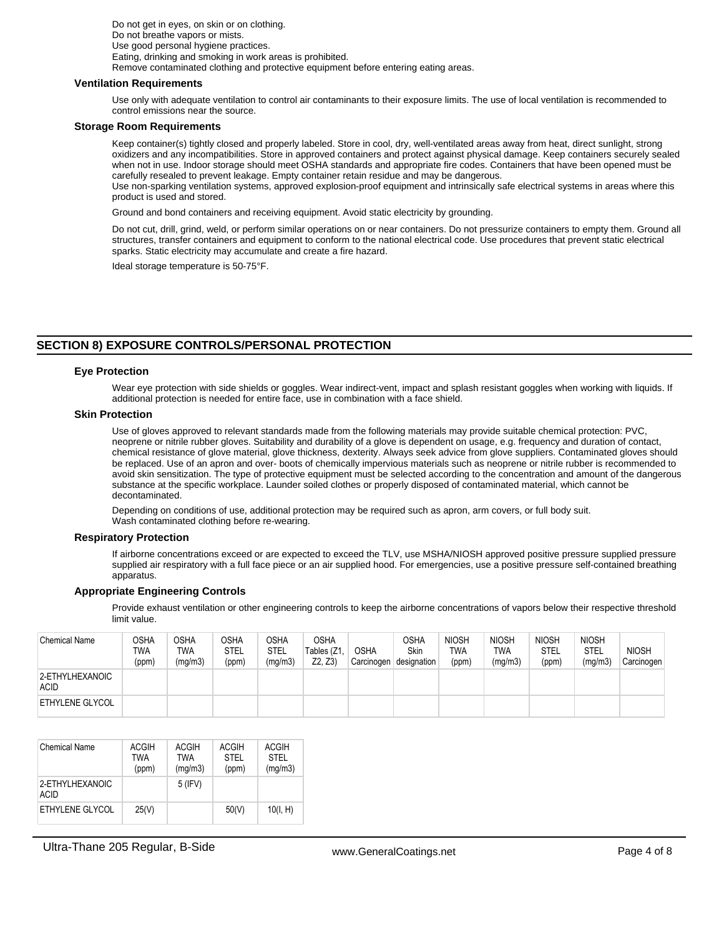Do not get in eyes, on skin or on clothing. Do not breathe vapors or mists. Use good personal hygiene practices. Eating, drinking and smoking in work areas is prohibited. Remove contaminated clothing and protective equipment before entering eating areas.

#### **Ventilation Requirements**

Use only with adequate ventilation to control air contaminants to their exposure limits. The use of local ventilation is recommended to control emissions near the source.

#### **Storage Room Requirements**

Keep container(s) tightly closed and properly labeled. Store in cool, dry, well-ventilated areas away from heat, direct sunlight, strong oxidizers and any incompatibilities. Store in approved containers and protect against physical damage. Keep containers securely sealed when not in use. Indoor storage should meet OSHA standards and appropriate fire codes. Containers that have been opened must be carefully resealed to prevent leakage. Empty container retain residue and may be dangerous. Use non-sparking ventilation systems, approved explosion-proof equipment and intrinsically safe electrical systems in areas where this

product is used and stored.

Ground and bond containers and receiving equipment. Avoid static electricity by grounding.

Do not cut, drill, grind, weld, or perform similar operations on or near containers. Do not pressurize containers to empty them. Ground all structures, transfer containers and equipment to conform to the national electrical code. Use procedures that prevent static electrical sparks. Static electricity may accumulate and create a fire hazard.

Ideal storage temperature is 50-75°F.

# **SECTION 8) EXPOSURE CONTROLS/PERSONAL PROTECTION**

#### **Eye Protection**

Wear eye protection with side shields or goggles. Wear indirect-vent, impact and splash resistant goggles when working with liquids. If additional protection is needed for entire face, use in combination with a face shield.

#### **Skin Protection**

Use of gloves approved to relevant standards made from the following materials may provide suitable chemical protection: PVC, neoprene or nitrile rubber gloves. Suitability and durability of a glove is dependent on usage, e.g. frequency and duration of contact, chemical resistance of glove material, glove thickness, dexterity. Always seek advice from glove suppliers. Contaminated gloves should be replaced. Use of an apron and over- boots of chemically impervious materials such as neoprene or nitrile rubber is recommended to avoid skin sensitization. The type of protective equipment must be selected according to the concentration and amount of the dangerous substance at the specific workplace. Launder soiled clothes or properly disposed of contaminated material, which cannot be decontaminated.

Depending on conditions of use, additional protection may be required such as apron, arm covers, or full body suit. Wash contaminated clothing before re-wearing.

#### **Respiratory Protection**

If airborne concentrations exceed or are expected to exceed the TLV, use MSHA/NIOSH approved positive pressure supplied pressure supplied air respiratory with a full face piece or an air supplied hood. For emergencies, use a positive pressure self-contained breathing apparatus.

# **Appropriate Engineering Controls**

Provide exhaust ventilation or other engineering controls to keep the airborne concentrations of vapors below their respective threshold limit value.

| <b>Chemical Name</b>           | OSHA<br>TWA<br>(ppm) | OSHA<br><b>TWA</b><br>(mq/m3) | <b>OSHA</b><br><b>STEL</b><br>(ppm) | OSHA<br><b>STEL</b><br>(mg/m3) | <b>OSHA</b><br>Tables (Z1<br>Z2. Z3 | <b>OSHA</b><br>Carcinogen | OSHA<br>Skin<br>designation | <b>NIOSH</b><br><b>TWA</b><br>(ppm) | <b>NIOSH</b><br><b>TWA</b><br>(mg/m3) | <b>NIOSH</b><br><b>STEL</b><br>(ppm) | <b>NIOSH</b><br><b>STEL</b><br>(mg/m3) | <b>NIOSH</b><br>Carcinogen |
|--------------------------------|----------------------|-------------------------------|-------------------------------------|--------------------------------|-------------------------------------|---------------------------|-----------------------------|-------------------------------------|---------------------------------------|--------------------------------------|----------------------------------------|----------------------------|
| 2-ETHYLHEXANOIC<br><b>ACID</b> |                      |                               |                                     |                                |                                     |                           |                             |                                     |                                       |                                      |                                        |                            |
| <b>ETHYLENE GLYCOL</b>         |                      |                               |                                     |                                |                                     |                           |                             |                                     |                                       |                                      |                                        |                            |

| <b>Chemical Name</b>    | <b>ACGIH</b><br>TWA<br>(ppm) | ACGIH<br><b>TWA</b><br>(mg/m3) | <b>ACGIH</b><br><b>STEL</b><br>(ppm) | <b>ACGIH</b><br><b>STEL</b><br>(mg/m3) |
|-------------------------|------------------------------|--------------------------------|--------------------------------------|----------------------------------------|
| 2-ETHYLHEXANOIC<br>ACID |                              | $5$ (IFV)                      |                                      |                                        |
| ETHYLENE GLYCOL         | 25(V)                        |                                | 50(V)                                | 10(I, H)                               |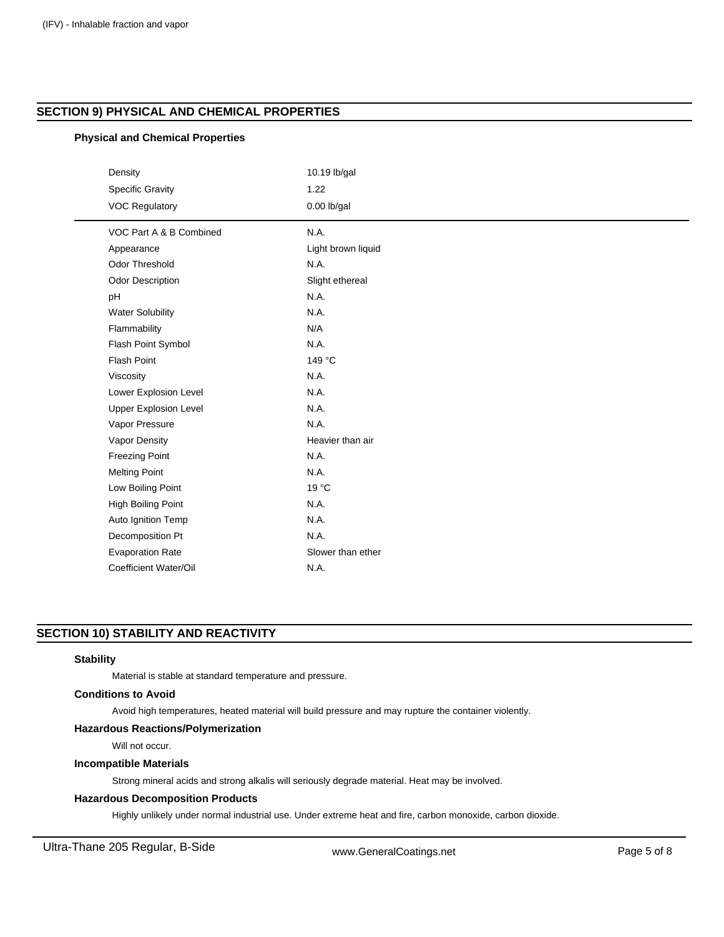# **SECTION 9) PHYSICAL AND CHEMICAL PROPERTIES**

# **Physical and Chemical Properties**

| Density                      | 10.19 lb/gal       |  |
|------------------------------|--------------------|--|
| <b>Specific Gravity</b>      | 1.22               |  |
| <b>VOC Regulatory</b>        | $0.00$ lb/gal      |  |
|                              |                    |  |
| VOC Part A & B Combined      | N.A.               |  |
| Appearance                   | Light brown liquid |  |
| Odor Threshold               | N.A.               |  |
| <b>Odor Description</b>      | Slight ethereal    |  |
| pH                           | N.A.               |  |
| <b>Water Solubility</b>      | N.A.               |  |
| Flammability                 | N/A                |  |
| Flash Point Symbol           | N.A.               |  |
| <b>Flash Point</b>           | 149 °C             |  |
| Viscosity                    | N.A.               |  |
| Lower Explosion Level        | N.A.               |  |
| <b>Upper Explosion Level</b> | N.A.               |  |
| Vapor Pressure               | N.A.               |  |
| Vapor Density                | Heavier than air   |  |
| <b>Freezing Point</b>        | N.A.               |  |
| <b>Melting Point</b>         | N.A.               |  |
| Low Boiling Point            | $19^{\circ}$ C     |  |
| <b>High Boiling Point</b>    | N.A.               |  |
| Auto Ignition Temp           | N.A.               |  |
| Decomposition Pt             | N.A.               |  |
| <b>Evaporation Rate</b>      | Slower than ether  |  |
| Coefficient Water/Oil        | N.A.               |  |

# **SECTION 10) STABILITY AND REACTIVITY**

# **Stability**

Material is stable at standard temperature and pressure.

# **Conditions to Avoid**

Avoid high temperatures, heated material will build pressure and may rupture the container violently.

# **Hazardous Reactions/Polymerization**

Will not occur.

# **Incompatible Materials**

Strong mineral acids and strong alkalis will seriously degrade material. Heat may be involved.

# **Hazardous Decomposition Products**

Highly unlikely under normal industrial use. Under extreme heat and fire, carbon monoxide, carbon dioxide.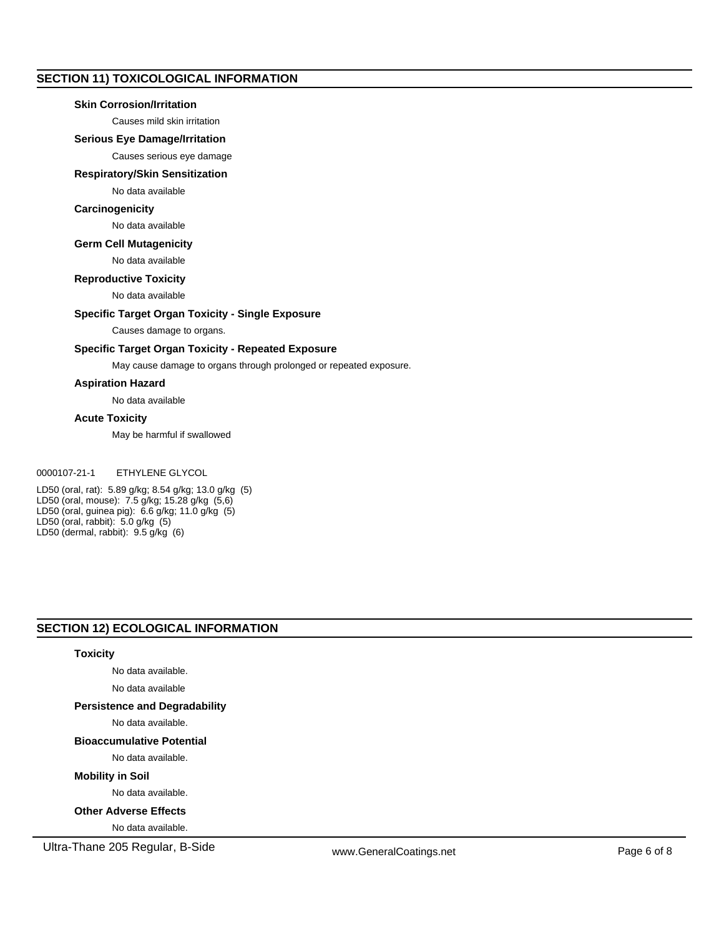# **SECTION 11) TOXICOLOGICAL INFORMATION**

# **Skin Corrosion/Irritation**

Causes mild skin irritation

# **Serious Eye Damage/Irritation**

Causes serious eye damage

#### **Respiratory/Skin Sensitization**

# No data available

# **Carcinogenicity**

No data available

# **Germ Cell Mutagenicity**

No data available

# **Reproductive Toxicity**

No data available

# **Specific Target Organ Toxicity - Single Exposure**

Causes damage to organs.

# **Specific Target Organ Toxicity - Repeated Exposure**

May cause damage to organs through prolonged or repeated exposure.

# **Aspiration Hazard**

No data available

#### **Acute Toxicity**

May be harmful if swallowed

# 0000107-21-1 ETHYLENE GLYCOL

LD50 (oral, rat): 5.89 g/kg; 8.54 g/kg; 13.0 g/kg (5) LD50 (oral, mouse): 7.5 g/kg; 15.28 g/kg (5,6) LD50 (oral, guinea pig): 6.6 g/kg; 11.0 g/kg (5) LD50 (oral, rabbit): 5.0 g/kg (5) LD50 (dermal, rabbit): 9.5 g/kg (6)

# **SECTION 12) ECOLOGICAL INFORMATION**

# **Toxicity**

No data available.

No data available

# **Persistence and Degradability**

No data available.

# **Bioaccumulative Potential**

No data available.

# **Mobility in Soil**

No data available.

# **Other Adverse Effects**

No data available.

Ultra-Thane 205 Regular, B-Side www.GeneralCoatings.net Page 6 of 8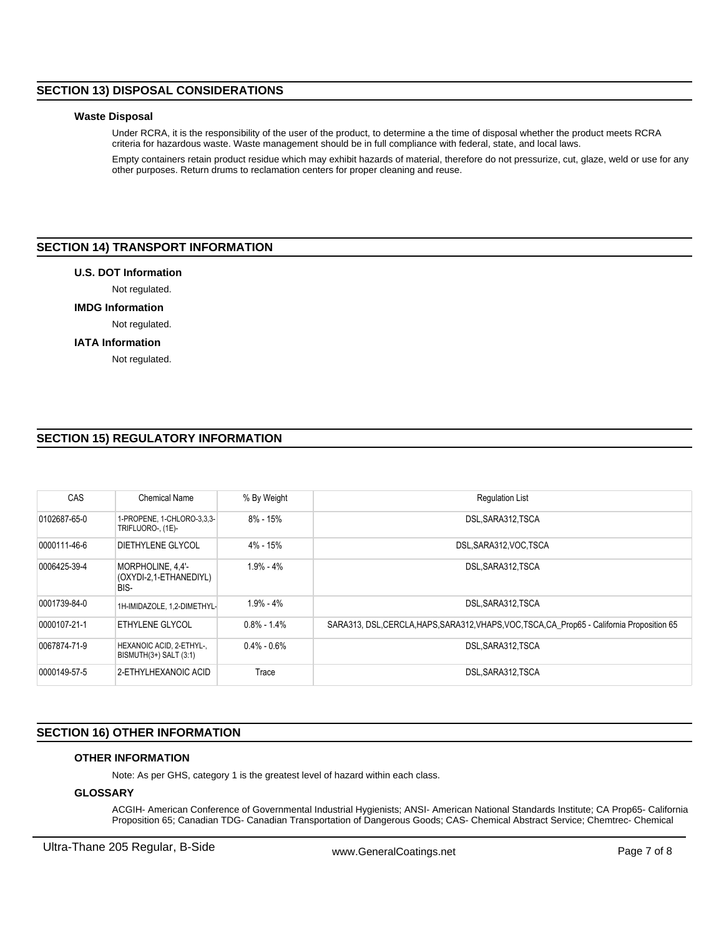# **SECTION 13) DISPOSAL CONSIDERATIONS**

### **Waste Disposal**

Under RCRA, it is the responsibility of the user of the product, to determine a the time of disposal whether the product meets RCRA criteria for hazardous waste. Waste management should be in full compliance with federal, state, and local laws.

Empty containers retain product residue which may exhibit hazards of material, therefore do not pressurize, cut, glaze, weld or use for any other purposes. Return drums to reclamation centers for proper cleaning and reuse.

# **SECTION 14) TRANSPORT INFORMATION**

# **U.S. DOT Information**

# Not regulated.

**IMDG Information**

# Not regulated.

# **IATA Information**

Not regulated.

# **SECTION 15) REGULATORY INFORMATION**

| CAS          | Chemical Name                                       | % By Weight     | <b>Requlation List</b>                                                                       |
|--------------|-----------------------------------------------------|-----------------|----------------------------------------------------------------------------------------------|
| 0102687-65-0 | 1-PROPENE, 1-CHLORO-3,3,3-<br>TRIFLUORO-, (1E)-     | $8\%$ - 15%     | DSL.SARA312.TSCA                                                                             |
| 0000111-46-6 | DIETHYLENE GLYCOL                                   | 4% - 15%        | DSL SARA312, VOC, TSCA                                                                       |
| 0006425-39-4 | MORPHOLINE, 4,4'-<br>(OXYDI-2,1-ETHANEDIYL)<br>BIS- | $1.9\% - 4\%$   | DSL, SARA312, TSCA                                                                           |
| 0001739-84-0 | 1H-IMIDAZOLE, 1.2-DIMETHYL-                         | $1.9\% - 4\%$   | DSL.SARA312.TSCA                                                                             |
| 0000107-21-1 | ETHYLENE GLYCOL                                     | $0.8\% - 1.4\%$ | SARA313, DSL, CERCLA, HAPS, SARA312, VHAPS, VOC, TSCA, CA Prop65 - California Proposition 65 |
| 0067874-71-9 | HEXANOIC ACID, 2-ETHYL-,<br>BISMUTH(3+) SALT (3:1)  | $0.4\% - 0.6\%$ | DSL.SARA312.TSCA                                                                             |
| 0000149-57-5 | 2-ETHYLHEXANOIC ACID                                | Trace           | DSL, SARA312, TSCA                                                                           |

# **SECTION 16) OTHER INFORMATION**

# **OTHER INFORMATION**

Note: As per GHS, category 1 is the greatest level of hazard within each class.

# **GLOSSARY**

ACGIH- American Conference of Governmental Industrial Hygienists; ANSI- American National Standards Institute; CA Prop65- California Proposition 65; Canadian TDG- Canadian Transportation of Dangerous Goods; CAS- Chemical Abstract Service; Chemtrec- Chemical

Ultra-Thane 205 Regular, B-Side www.GeneralCoatings.net Page 7 of 8